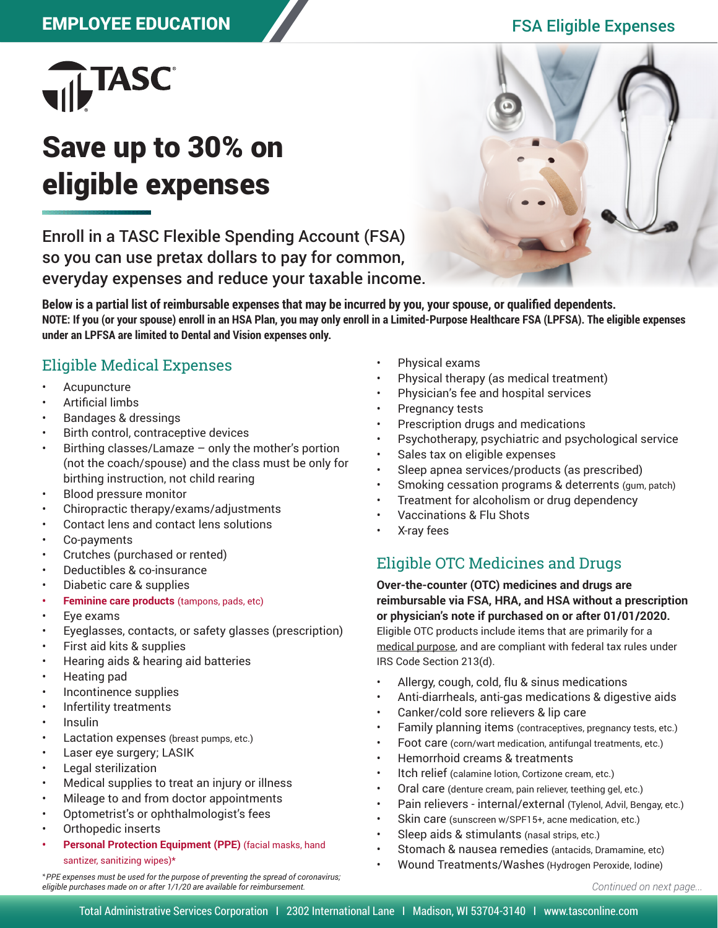# EMPLOYEE EDUCATION FSA Eligible Expenses



# Save up to 30% on eligible expenses

Enroll in a TASC Flexible Spending Account (FSA) so you can use pretax dollars to pay for common, everyday expenses and reduce your taxable income.



**Below is a partial list of reimbursable expenses that may be incurred by you, your spouse, or qualified dependents. NOTE: If you (or your spouse) enroll in an HSA Plan, you may only enroll in a Limited-Purpose Healthcare FSA (LPFSA). The eligible expenses under an LPFSA are limited to Dental and Vision expenses only.**

## Eligible Medical Expenses

- **Acupuncture**
- Artificial limbs
- Bandages & dressings
- Birth control, contraceptive devices
- Birthing classes/Lamaze  $-$  only the mother's portion (not the coach/spouse) and the class must be only for birthing instruction, not child rearing
- Blood pressure monitor
- Chiropractic therapy/exams/adjustments
- Contact lens and contact lens solutions
- Co-payments
- Crutches (purchased or rented)
- Deductibles & co-insurance
- Diabetic care & supplies
- **• Feminine care products** (tampons, pads, etc)
- Eye exams
- Eyeglasses, contacts, or safety glasses (prescription)
- First aid kits & supplies
- Hearing aids & hearing aid batteries
- Heating pad
- Incontinence supplies
- Infertility treatments
- Insulin
- Lactation expenses (breast pumps, etc.)
- Laser eye surgery; LASIK
- Legal sterilization
- Medical supplies to treat an injury or illness
- Mileage to and from doctor appointments
- Optometrist's or ophthalmologist's fees
- Orthopedic inserts
- **• Personal Protection Equipment (PPE)** (facial masks, hand

santizer, sanitizing wipes)\*

\**PPE expenses must be used for the purpose of preventing the spread of coronavirus; eligible purchases made on or after 1/1/20 are available for reimbursement.* 

- Physical exams
- Physical therapy (as medical treatment)
- Physician's fee and hospital services
- Pregnancy tests
- Prescription drugs and medications
- Psychotherapy, psychiatric and psychological service
- Sales tax on eligible expenses
- Sleep apnea services/products (as prescribed)
- Smoking cessation programs & deterrents (gum, patch)
- Treatment for alcoholism or drug dependency
- Vaccinations & Flu Shots
- X-ray fees

# Eligible OTC Medicines and Drugs

**Over-the-counter (OTC) medicines and drugs are reimbursable via FSA, HRA, and HSA without a prescription or physician's note if purchased on or after 01/01/2020.**  Eligible OTC products include items that are primarily for a

medical purpose, and are compliant with federal tax rules under IRS Code Section 213(d).

- Allergy, cough, cold, flu & sinus medications
- Anti-diarrheals, anti-gas medications & digestive aids
- Canker/cold sore relievers & lip care
- Family planning items (contraceptives, pregnancy tests, etc.)
- Foot care (corn/wart medication, antifungal treatments, etc.)
- Hemorrhoid creams & treatments
- Itch relief (calamine lotion, Cortizone cream, etc.)
- Oral care (denture cream, pain reliever, teething gel, etc.)
- Pain relievers internal/external (Tylenol, Advil, Bengay, etc.)
- Skin care (sunscreen w/SPF15+, acne medication, etc.)
- Sleep aids & stimulants (nasal strips, etc.)
- Stomach & nausea remedies (antacids, Dramamine, etc)
- Wound Treatments/Washes (Hydrogen Peroxide, Iodine)